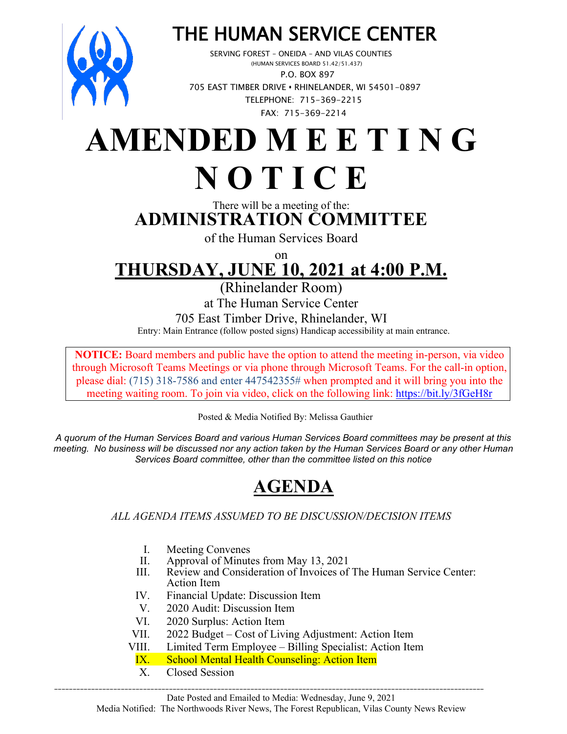

# THE HUMAN SERVICE CENTER<br>SERVING FOREST – ONEIDA – AND VILAS COUNTIES<br>(HUMAN SERVICES BOARD 51.42/51.437)

 P.O. BOX 897 705 EAST TIMBER DRIVE **•** RHINELANDER, WI 54501-0897 TELEPHONE: 715-369-2215 FAX: 715-369-2214

## **AMENDED M E E T I N G N O T I C E**

#### There will be a meeting of the: **ADMINISTRATION COMMITTEE**

of the Human Services Board

on

## **THURSDAY, JUNE 10, 2021 at 4:00 P.M.**

(Rhinelander Room)

at The Human Service Center 705 East Timber Drive, Rhinelander, WI Entry: Main Entrance (follow posted signs) Handicap accessibility at main entrance.

**NOTICE:** Board members and public have the option to attend the meeting in-person, via video through Microsoft Teams Meetings or via phone through Microsoft Teams. For the call-in option, please dial: (715) 318-7586 and enter 447542355# when prompted and it will bring you into the meeting waiting room. To join via video, click on the following link: <https://bit.ly/3fGeH8r>

Posted & Media Notified By: Melissa Gauthier

*A quorum of the Human Services Board and various Human Services Board committees may be present at this meeting. No business will be discussed nor any action taken by the Human Services Board or any other Human Services Board committee, other than the committee listed on this notice*

### **AGENDA**

#### *ALL AGENDA ITEMS ASSUMED TO BE DISCUSSION/DECISION ITEMS*

- I. Meeting Convenes<br>II. Approval of Minute
- II. Approval of Minutes from May 13, 2021<br>III. Review and Consideration of Invoices of
- Review and Consideration of Invoices of The Human Service Center: Action Item
- IV. Financial Update: Discussion Item
- V. 2020 Audit: Discussion Item
- VI. 2020 Surplus: Action Item
- VII. 2022 Budget Cost of Living Adjustment: Action Item

\_\_\_\_\_\_\_\_\_\_\_\_\_\_\_\_\_\_\_\_\_\_\_\_\_\_\_\_\_\_\_\_\_\_\_\_\_\_\_\_\_\_\_\_\_\_\_\_\_\_\_\_\_\_\_\_\_\_\_\_\_\_\_\_\_\_\_\_\_\_\_\_\_\_\_\_\_\_\_\_\_\_\_\_\_\_\_\_\_\_\_\_\_\_\_\_\_\_\_\_\_\_\_\_\_\_\_\_\_\_\_\_\_\_\_\_

- VIII. Limited Term Employee Billing Specialist: Action Item<br>IX. School Mental Health Counseling: Action Item
	- **School Mental Health Counseling: Action Item**
	- X. Closed Session

Date Posted and Emailed to Media: Wednesday, June 9, 2021